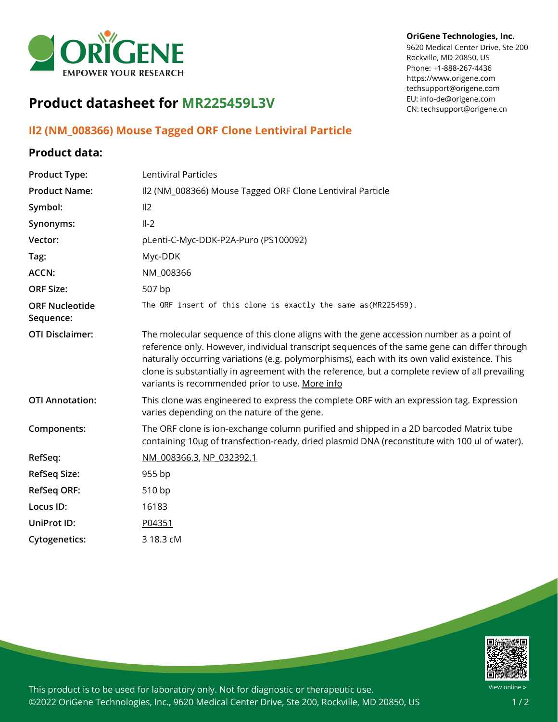

# **Product datasheet for MR225459L3V**

### **Il2 (NM\_008366) Mouse Tagged ORF Clone Lentiviral Particle**

#### **Product data:**

## **Product Type:** Lentiviral Particles **Product Name:** Il2 (NM\_008366) Mouse Tagged ORF Clone Lentiviral Particle Symbol: Il2 **Synonyms:** Il-2 **Vector:** pLenti-C-Myc-DDK-P2A-Puro (PS100092) **Tag:** Myc-DDK **ACCN:** NM 008366 **ORF Size:** 507 bp **ORF Nucleotide Sequence:** The ORF insert of this clone is exactly the same as(MR225459). **OTI Disclaimer:** The molecular sequence of this clone aligns with the gene accession number as a point of reference only. However, individual transcript sequences of the same gene can differ through naturally occurring variations (e.g. polymorphisms), each with its own valid existence. This clone is substantially in agreement with the reference, but a complete review of all prevailing variants is recommended prior to use. [More](https://www.ncbi.nlm.nih.gov/books/NBK174586/) info **OTI Annotation:** This clone was engineered to express the complete ORF with an expression tag. Expression varies depending on the nature of the gene. **Components:** The ORF clone is ion-exchange column purified and shipped in a 2D barcoded Matrix tube containing 10ug of transfection-ready, dried plasmid DNA (reconstitute with 100 ul of water). **RefSeq:** [NM\\_008366.3](https://www.ncbi.nlm.nih.gov/nuccore/NM_008366.3), [NP\\_032392.1](https://www.ncbi.nlm.nih.gov/nuccore/NP_032392.1) **RefSeq Size:** 955 bp **RefSeq ORF:** 510 bp **Locus ID:** 16183 **UniProt ID:** [P04351](https://www.uniprot.org/uniprot/P04351) **Cytogenetics:** 3 18.3 cM



This product is to be used for laboratory only. Not for diagnostic or therapeutic use. ©2022 OriGene Technologies, Inc., 9620 Medical Center Drive, Ste 200, Rockville, MD 20850, US

#### **OriGene Technologies, Inc.**

9620 Medical Center Drive, Ste 200 Rockville, MD 20850, US Phone: +1-888-267-4436 https://www.origene.com techsupport@origene.com EU: info-de@origene.com CN: techsupport@origene.cn